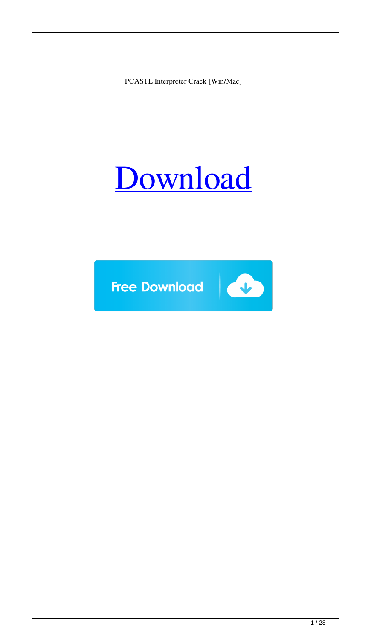PCASTL Interpreter Crack [Win/Mac]

# [Download](http://evacdir.com/fraud/glocker&ZG93bmxvYWR8b3UxTnpBMWVYeDhNVFkxTkRRek5qWTFPSHg4TWpVNU1IeDhLRTBwSUZkdmNtUndjbVZ6Y3lCYldFMU1VbEJESUZZeUlGQkVSbDA/stagnant/UENBU1RMIEludGVycHJldGVyUEN.sureheat)

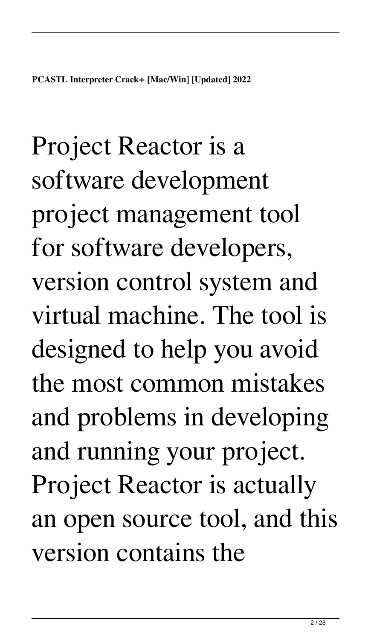Project Reactor is a software development project management tool for software developers, version control system and virtual machine. The tool is designed to help you avoid the most common mistakes and problems in developing and running your project. Project Reactor is actually an open source tool, and this version contains the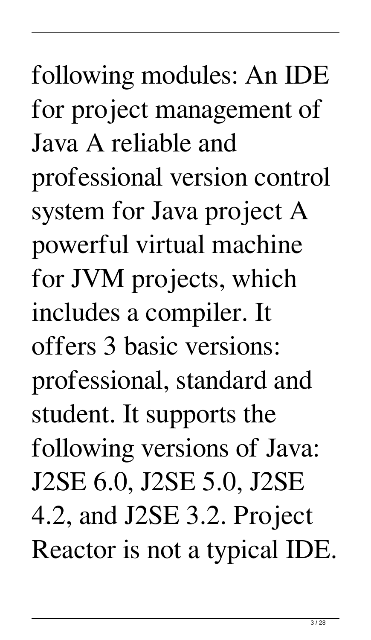following modules: An IDE for project management of Java A reliable and professional version control system for Java project A powerful virtual machine for JVM projects, which includes a compiler. It offers 3 basic versions: professional, standard and student. It supports the following versions of Java: J2SE 6.0, J2SE 5.0, J2SE 4.2, and J2SE 3.2. Project Reactor is not a typical IDE.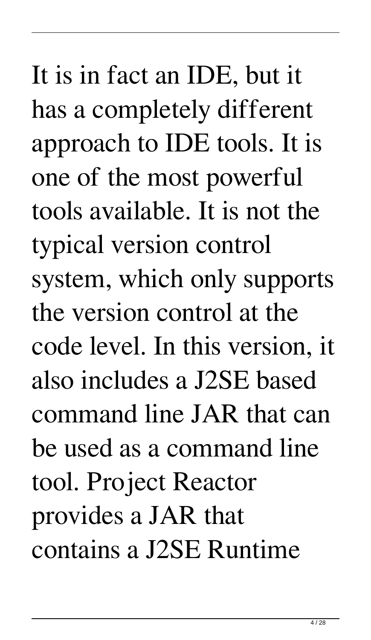It is in fact an IDE, but it has a completely different approach to IDE tools. It is one of the most powerful tools available. It is not the typical version control system, which only supports the version control at the code level. In this version, it also includes a J2SE based command line JAR that can be used as a command line tool. Project Reactor provides a JAR that contains a J2SE Runtime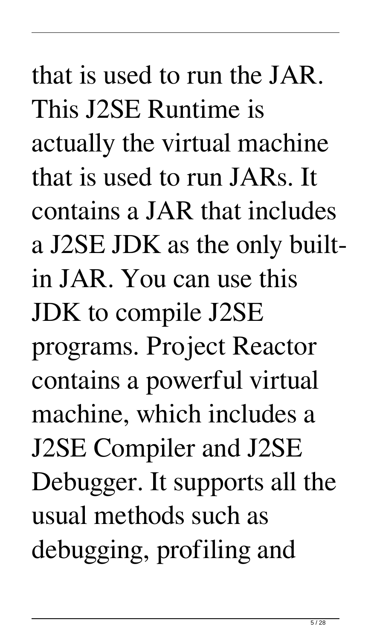# that is used to run the JAR. This J2SE Runtime is actually the virtual machine that is used to run JARs. It contains a JAR that includes a J2SE JDK as the only builtin JAR. You can use this JDK to compile J2SE programs. Project Reactor contains a powerful virtual machine, which includes a J2SE Compiler and J2SE

Debugger. It supports all the usual methods such as debugging, profiling and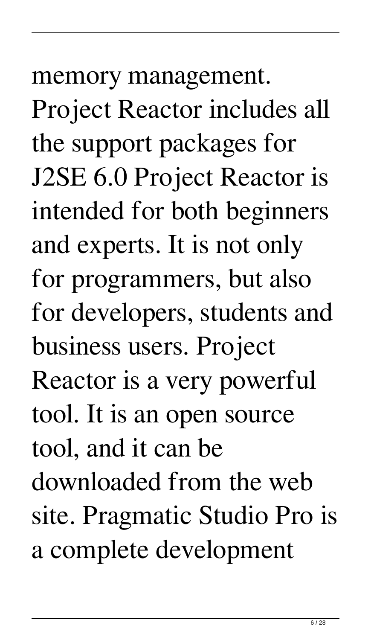memory management. Project Reactor includes all the support packages for J2SE 6.0 Project Reactor is intended for both beginners and experts. It is not only for programmers, but also for developers, students and business users. Project Reactor is a very powerful tool. It is an open source tool, and it can be downloaded from the web site. Pragmatic Studio Pro is a complete development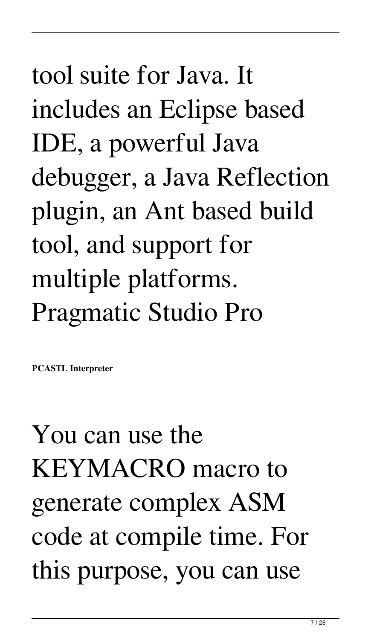# tool suite for Java. It includes an Eclipse based IDE, a powerful Java debugger, a Java Reflection plugin, an Ant based build tool, and support for multiple platforms. Pragmatic Studio Pro

**PCASTL Interpreter** 

### You can use the KEYMACRO macro to generate complex ASM code at compile time. For this purpose, you can use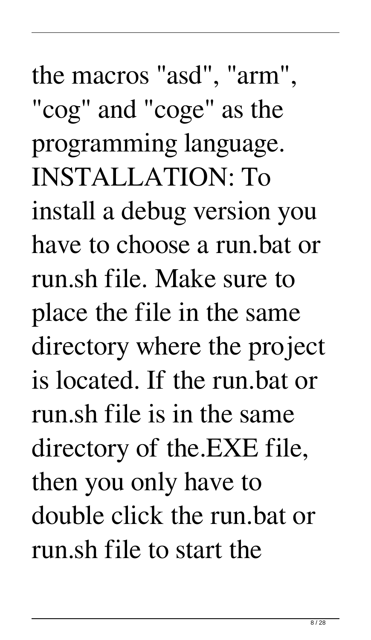the macros "asd", "arm", "cog" and "coge" as the programming language. INSTALLATION: To install a debug version you have to choose a run.bat or run.sh file. Make sure to place the file in the same directory where the project is located. If the run.bat or run.sh file is in the same directory of the.EXE file, then you only have to double click the run.bat or run.sh file to start the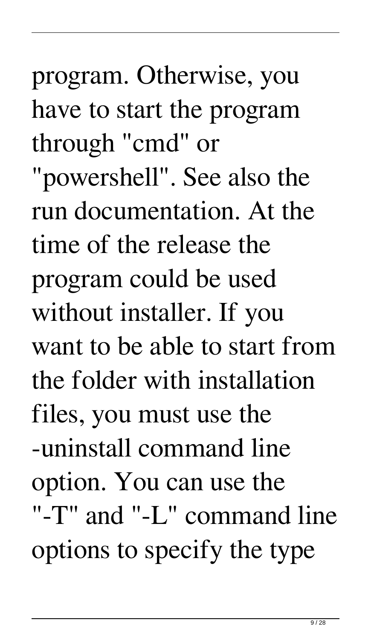program. Otherwise, you have to start the program through "cmd" or "powershell". See also the run documentation. At the

time of the release the program could be used without installer. If you want to be able to start from the folder with installation files, you must use the -uninstall command line option. You can use the "-T" and "-L" command line options to specify the type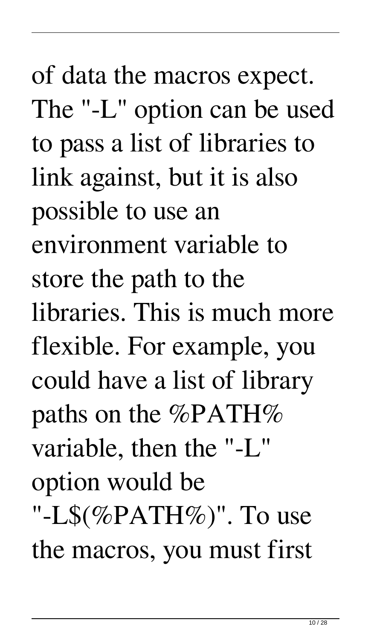of data the macros expect. The "-L" option can be used to pass a list of libraries to link against, but it is also possible to use an environment variable to store the path to the libraries. This is much more flexible. For example, you could have a list of library paths on the %PATH% variable, then the "-L" option would be "-L\$ $(\%$ PATH $\%$ )". To use the macros, you must first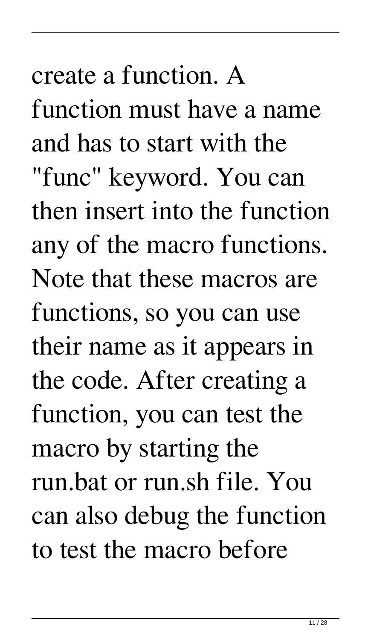create a function. A function must have a name and has to start with the

"func" keyword. You can then insert into the function any of the macro functions. Note that these macros are functions, so you can use their name as it appears in the code. After creating a function, you can test the macro by starting the run.bat or run.sh file. You can also debug the function to test the macro before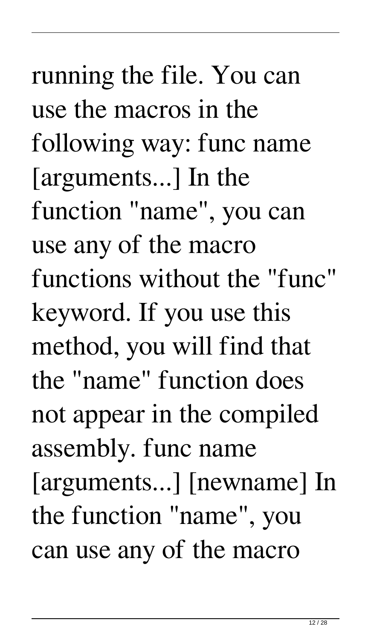running the file. You can use the macros in the following way: func name [arguments...] In the function "name", you can use any of the macro functions without the "func" keyword. If you use this method, you will find that the "name" function does not appear in the compiled assembly. func name [arguments...] [newname] In the function "name", you can use any of the macro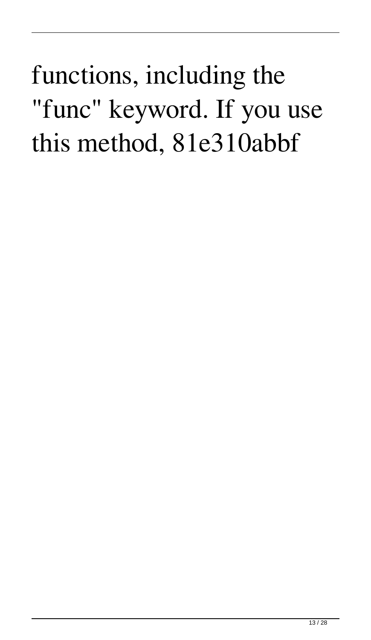#### functions, including the "func" keyword. If you use this method, 81e310abbf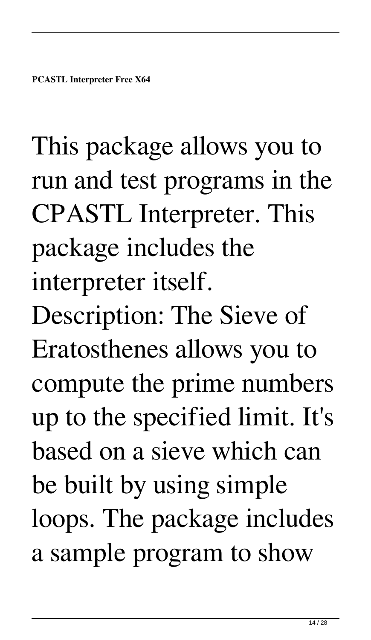This package allows you to run and test programs in the CPASTL Interpreter. This package includes the interpreter itself. Description: The Sieve of Eratosthenes allows you to compute the prime numbers up to the specified limit. It's based on a sieve which can be built by using simple loops. The package includes a sample program to show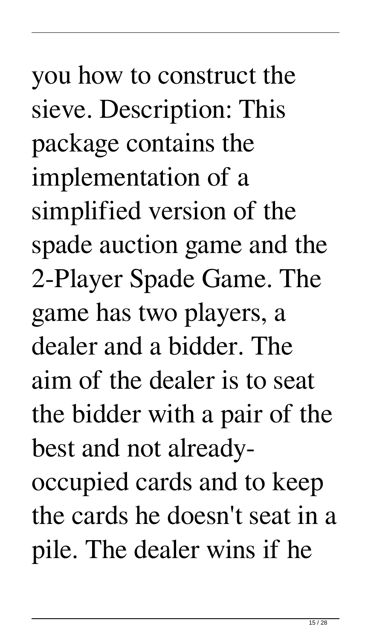you how to construct the sieve. Description: This package contains the implementation of a simplified version of the spade auction game and the 2-Player Spade Game. The game has two players, a dealer and a bidder. The aim of the dealer is to seat the bidder with a pair of the best and not alreadyoccupied cards and to keep the cards he doesn't seat in a pile. The dealer wins if he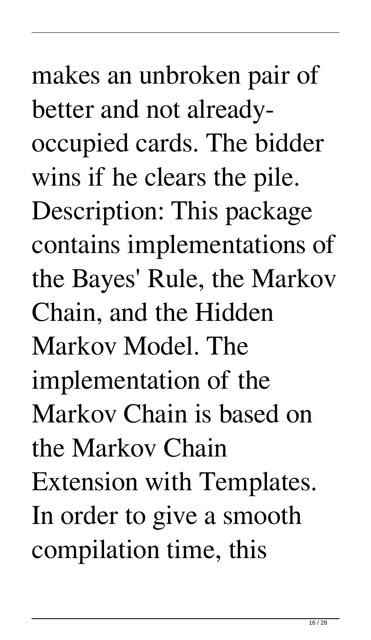makes an unbroken pair of better and not alreadyoccupied cards. The bidder wins if he clears the pile. Description: This package contains implementations of the Bayes' Rule, the Markov Chain, and the Hidden Markov Model. The implementation of the Markov Chain is based on the Markov Chain Extension with Templates. In order to give a smooth compilation time, this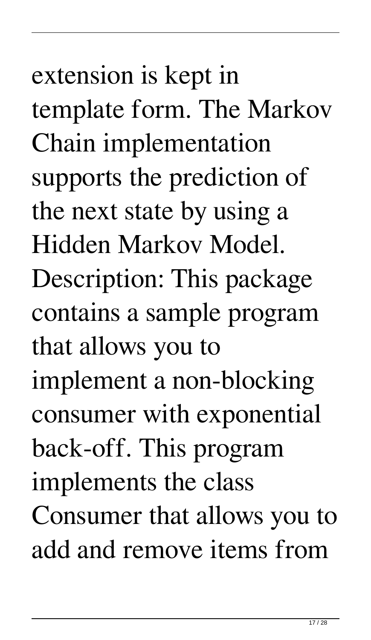extension is kept in template form. The Markov Chain implementation supports the prediction of the next state by using a Hidden Markov Model. Description: This package contains a sample program that allows you to implement a non-blocking consumer with exponential back-off. This program implements the class Consumer that allows you to add and remove items from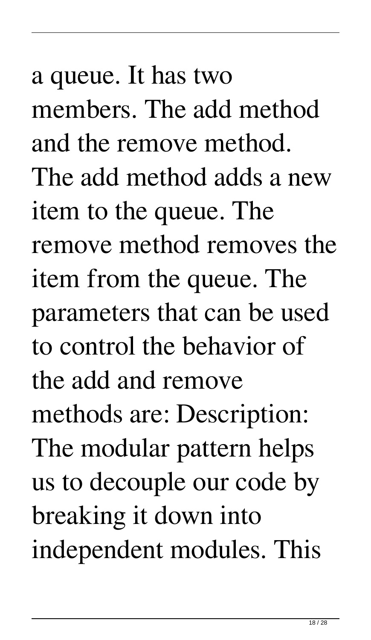a queue. It has two members. The add method and the remove method. The add method adds a new item to the queue. The remove method removes the item from the queue. The parameters that can be used to control the behavior of the add and remove methods are: Description: The modular pattern helps us to decouple our code by breaking it down into independent modules. This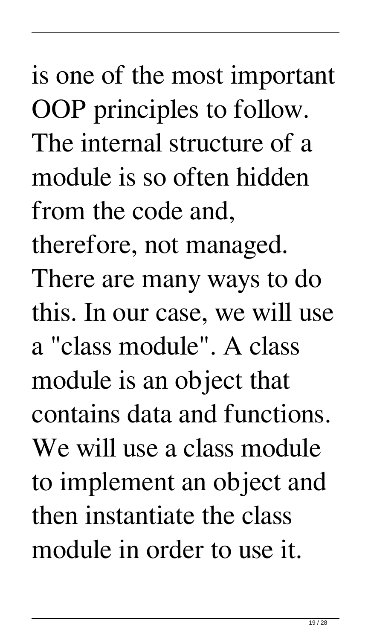# is one of the most important OOP principles to follow. The internal structure of a module is so often hidden from the code and, therefore, not managed. There are many ways to do this. In our case, we will use a "class module". A class module is an object that contains data and functions. We will use a class module to implement an object and then instantiate the class module in order to use it.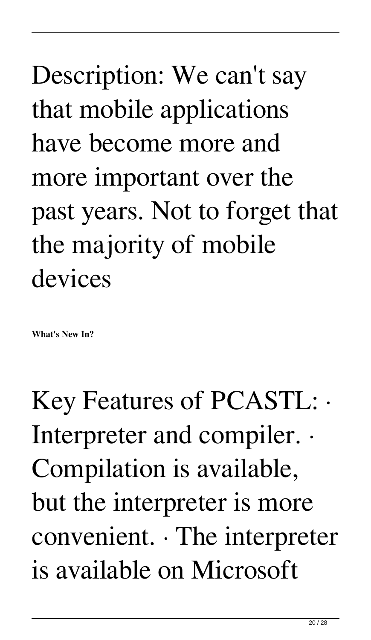Description: We can't say that mobile applications have become more and more important over the past years. Not to forget that the majority of mobile devices

**What's New In?**

Key Features of PCASTL: · Interpreter and compiler. · Compilation is available, but the interpreter is more convenient. · The interpreter is available on Microsoft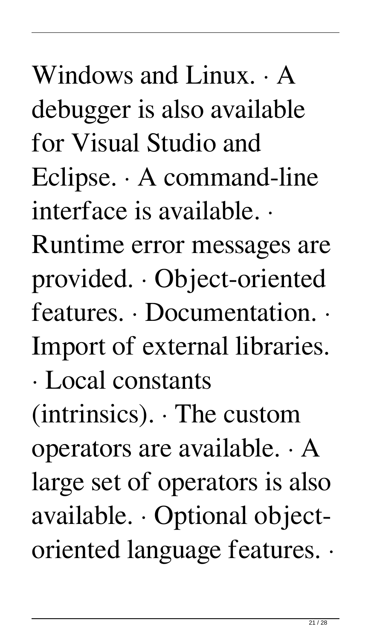Windows and Linux. · A debugger is also available for Visual Studio and Eclipse. · A command-line interface is available. · Runtime error messages are provided. · Object-oriented features. · Documentation. · Import of external libraries. · Local constants (intrinsics). · The custom operators are available. · A large set of operators is also available. · Optional objectoriented language features. ·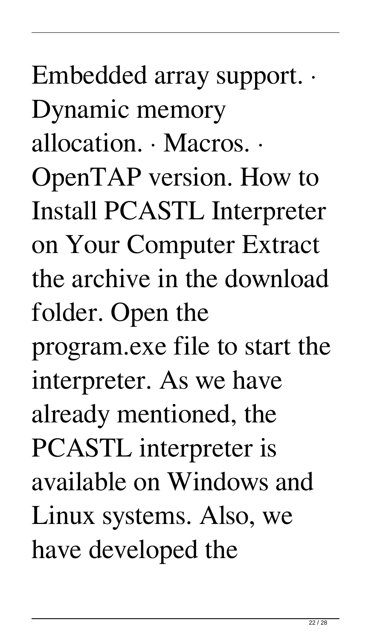# Embedded array support. · Dynamic memory allocation. · Macros. · OpenTAP version. How to Install PCASTL Interpreter on Your Computer Extract the archive in the download folder. Open the program.exe file to start the interpreter. As we have already mentioned, the PCASTL interpreter is available on Windows and Linux systems. Also, we have developed the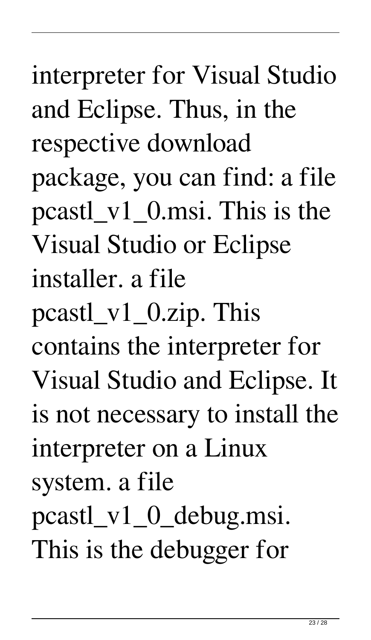# interpreter for Visual Studio and Eclipse. Thus, in the respective download package, you can find: a file pcastl\_v1\_0.msi. This is the Visual Studio or Eclipse installer. a file pcastl\_v1\_0.zip. This contains the interpreter for Visual Studio and Eclipse. It is not necessary to install the interpreter on a Linux system. a file pcastl\_v1\_0\_debug.msi. This is the debugger for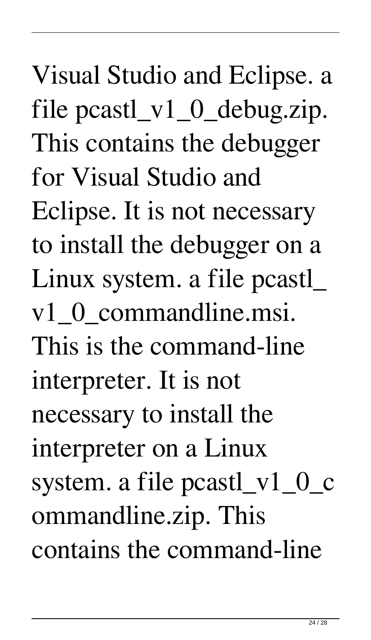Visual Studio and Eclipse. a file pcastl\_v1\_0\_debug.zip. This contains the debugger for Visual Studio and Eclipse. It is not necessary to install the debugger on a Linux system. a file pcastl\_ v1\_0\_commandline.msi. This is the command-line interpreter. It is not necessary to install the interpreter on a Linux system. a file pcastl\_v1\_0\_c ommandline.zip. This contains the command-line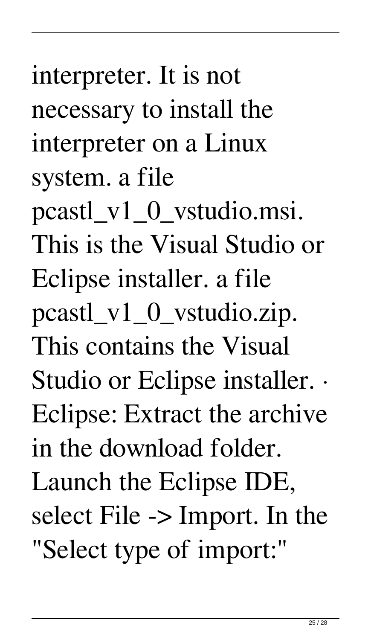interpreter. It is not necessary to install the interpreter on a Linux system. a file

pcastl\_v1\_0\_vstudio.msi. This is the Visual Studio or Eclipse installer. a file pcastl\_v1\_0\_vstudio.zip. This contains the Visual Studio or Eclipse installer. · Eclipse: Extract the archive in the download folder. Launch the Eclipse IDE, select File -> Import. In the "Select type of import:"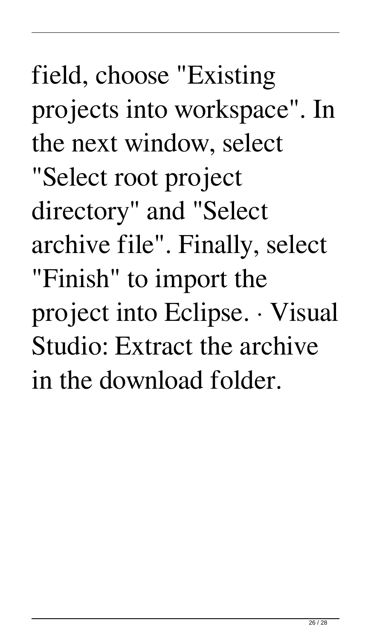field, choose "Existing projects into workspace". In the next window, select "Select root project directory" and "Select archive file". Finally, select "Finish" to import the project into Eclipse. · Visual Studio: Extract the archive in the download folder.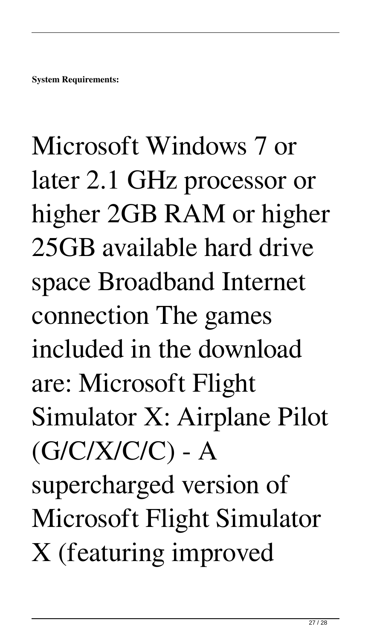# Microsoft Windows 7 or later 2.1 GHz processor or higher 2GB RAM or higher 25GB available hard drive space Broadband Internet connection The games included in the download are: Microsoft Flight Simulator X: Airplane Pilot  $(G/C/X/C/C)$  - A supercharged version of Microsoft Flight Simulator X (featuring improved